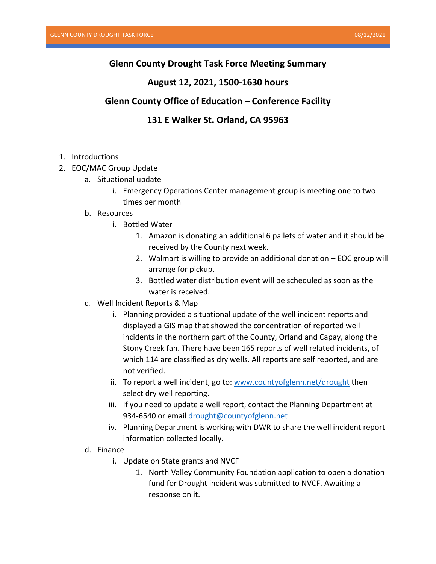### **Glenn County Drought Task Force Meeting Summary**

#### **August 12, 2021, 1500-1630 hours**

# **Glenn County Office of Education – Conference Facility**

# **131 E Walker St. Orland, CA 95963**

- 1. Introductions
- 2. EOC/MAC Group Update
	- a. Situational update
		- i. Emergency Operations Center management group is meeting one to two times per month
	- b. Resources
		- i. Bottled Water
			- 1. Amazon is donating an additional 6 pallets of water and it should be received by the County next week.
			- 2. Walmart is willing to provide an additional donation EOC group will arrange for pickup.
			- 3. Bottled water distribution event will be scheduled as soon as the water is received.
	- c. Well Incident Reports & Map
		- i. Planning provided a situational update of the well incident reports and displayed a GIS map that showed the concentration of reported well incidents in the northern part of the County, Orland and Capay, along the Stony Creek fan. There have been 165 reports of well related incidents, of which 114 are classified as dry wells. All reports are self reported, and are not verified.
		- ii. To report a well incident, go to: [www.countyofglenn.net/drought](http://www.countyofglenn.net/drought) then select dry well reporting.
		- iii. If you need to update a well report, contact the Planning Department at 934-6540 or email [drought@countyofglenn.net](mailto:drought@countyofglenn.net)
		- iv. Planning Department is working with DWR to share the well incident report information collected locally.
	- d. Finance
		- i. Update on State grants and NVCF
			- 1. North Valley Community Foundation application to open a donation fund for Drought incident was submitted to NVCF. Awaiting a response on it.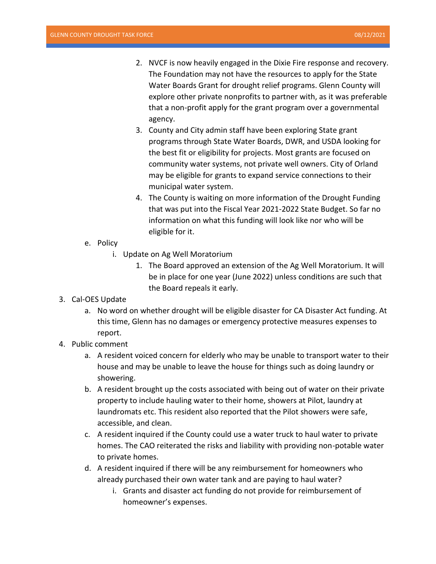- 2. NVCF is now heavily engaged in the Dixie Fire response and recovery. The Foundation may not have the resources to apply for the State Water Boards Grant for drought relief programs. Glenn County will explore other private nonprofits to partner with, as it was preferable that a non-profit apply for the grant program over a governmental agency.
- 3. County and City admin staff have been exploring State grant programs through State Water Boards, DWR, and USDA looking for the best fit or eligibility for projects. Most grants are focused on community water systems, not private well owners. City of Orland may be eligible for grants to expand service connections to their municipal water system.
- 4. The County is waiting on more information of the Drought Funding that was put into the Fiscal Year 2021-2022 State Budget. So far no information on what this funding will look like nor who will be eligible for it.
- e. Policy
	- i. Update on Ag Well Moratorium
		- 1. The Board approved an extension of the Ag Well Moratorium. It will be in place for one year (June 2022) unless conditions are such that the Board repeals it early.
- 3. Cal-OES Update
	- a. No word on whether drought will be eligible disaster for CA Disaster Act funding. At this time, Glenn has no damages or emergency protective measures expenses to report.
- 4. Public comment
	- a. A resident voiced concern for elderly who may be unable to transport water to their house and may be unable to leave the house for things such as doing laundry or showering.
	- b. A resident brought up the costs associated with being out of water on their private property to include hauling water to their home, showers at Pilot, laundry at laundromats etc. This resident also reported that the Pilot showers were safe, accessible, and clean.
	- c. A resident inquired if the County could use a water truck to haul water to private homes. The CAO reiterated the risks and liability with providing non-potable water to private homes.
	- d. A resident inquired if there will be any reimbursement for homeowners who already purchased their own water tank and are paying to haul water?
		- i. Grants and disaster act funding do not provide for reimbursement of homeowner's expenses.